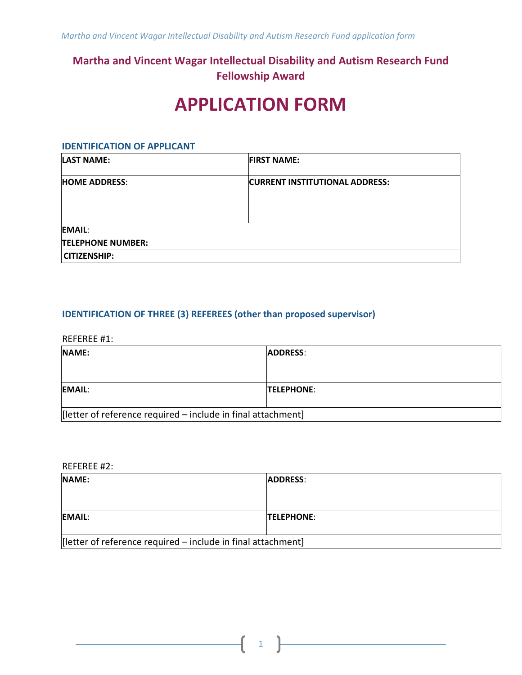## **Martha and Vincent Wagar Intellectual Disability and Autism Research Fund Fellowship Award**

# **APPLICATION FORM**

#### **IDENTIFICATION OF APPLICANT**

| <b>LAST NAME:</b>        | <b>FIRST NAME:</b>                    |
|--------------------------|---------------------------------------|
| <b>HOME ADDRESS:</b>     | <b>CURRENT INSTITUTIONAL ADDRESS:</b> |
| <b>EMAIL:</b>            |                                       |
| <b>TELEPHONE NUMBER:</b> |                                       |
| <b>CITIZENSHIP:</b>      |                                       |

### **IDENTIFICATION OF THREE (3) REFEREES (other than proposed supervisor)**

REFEREE #1:

| <b>NAME:</b>                                                 | <b>ADDRESS:</b>   |
|--------------------------------------------------------------|-------------------|
|                                                              |                   |
| <b>EMAIL:</b>                                                | <b>TELEPHONE:</b> |
| [letter of reference required - include in final attachment] |                   |

REFEREE #2:

| NAME:                                                        | <b>ADDRESS:</b>   |  |
|--------------------------------------------------------------|-------------------|--|
|                                                              |                   |  |
|                                                              |                   |  |
| <b>EMAIL:</b>                                                | <b>TELEPHONE:</b> |  |
|                                                              |                   |  |
| [letter of reference required – include in final attachment] |                   |  |

1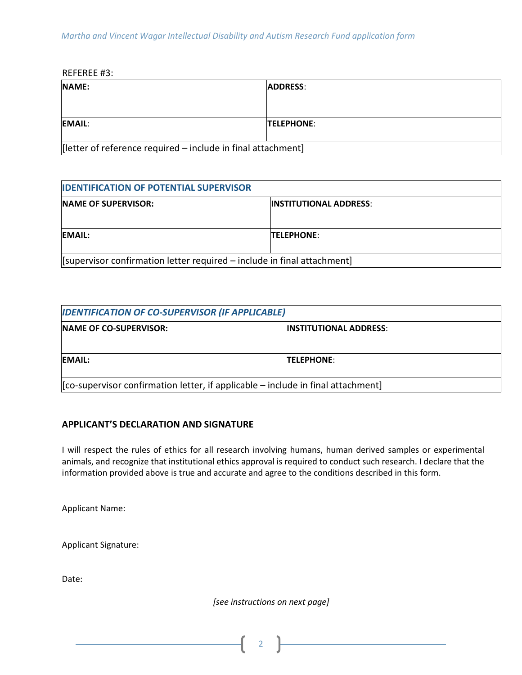REFEREE #3:

| NAME:                                                        | <b>ADDRESS:</b>   |
|--------------------------------------------------------------|-------------------|
|                                                              |                   |
| <b>EMAIL:</b>                                                | <b>TELEPHONE:</b> |
| [letter of reference required – include in final attachment] |                   |

| <b>IDENTIFICATION OF POTENTIAL SUPERVISOR</b>                           |                               |  |
|-------------------------------------------------------------------------|-------------------------------|--|
| <b>NAME OF SUPERVISOR:</b>                                              | <b>INSTITUTIONAL ADDRESS:</b> |  |
| EMAIL:                                                                  | <b>TELEPHONE:</b>             |  |
| [supervisor confirmation letter required - include in final attachment] |                               |  |

| <b>IDENTIFICATION OF CO-SUPERVISOR (IF APPLICABLE)</b>                             |                                |  |
|------------------------------------------------------------------------------------|--------------------------------|--|
| <b>INAME OF CO-SUPERVISOR:</b>                                                     | <b>IINSTITUTIONAL ADDRESS:</b> |  |
|                                                                                    |                                |  |
| EMAIL:                                                                             | <b>TELEPHONE:</b>              |  |
|                                                                                    |                                |  |
| $[co-supervisor confirmation letter, if applicable – include in final attachment]$ |                                |  |

#### **APPLICANT'S DECLARATION AND SIGNATURE**

I will respect the rules of ethics for all research involving humans, human derived samples or experimental animals, and recognize that institutional ethics approval is required to conduct such research. I declare that the information provided above is true and accurate and agree to the conditions described in this form.

Applicant Name:

Applicant Signature:

Date:

*[see instructions on next page]*

2